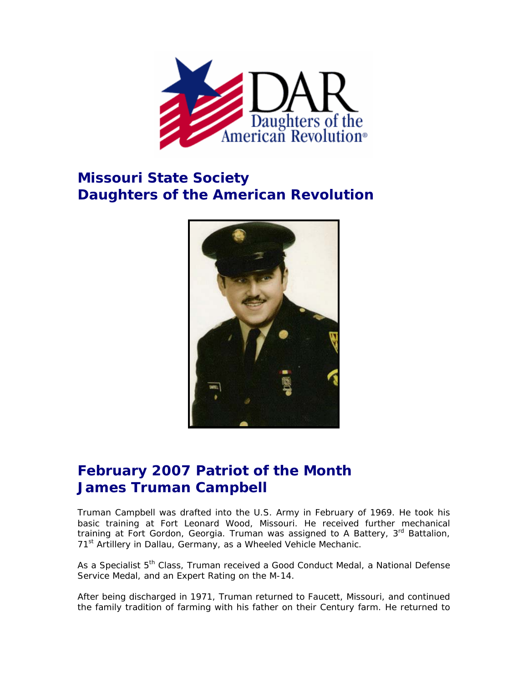

## **Missouri State Society Daughters of the American Revolution**



## **February 2007 Patriot of the Month James Truman Campbell**

Truman Campbell was drafted into the U.S. Army in February of 1969. He took his basic training at Fort Leonard Wood, Missouri. He received further mechanical training at Fort Gordon, Georgia. Truman was assigned to A Battery, 3<sup>rd</sup> Battalion, 71<sup>st</sup> Artillery in Dallau, Germany, as a Wheeled Vehicle Mechanic.

As a Specialist 5<sup>th</sup> Class, Truman received a Good Conduct Medal, a National Defense Service Medal, and an Expert Rating on the M-14.

After being discharged in 1971, Truman returned to Faucett, Missouri, and continued the family tradition of farming with his father on their Century farm. He returned to